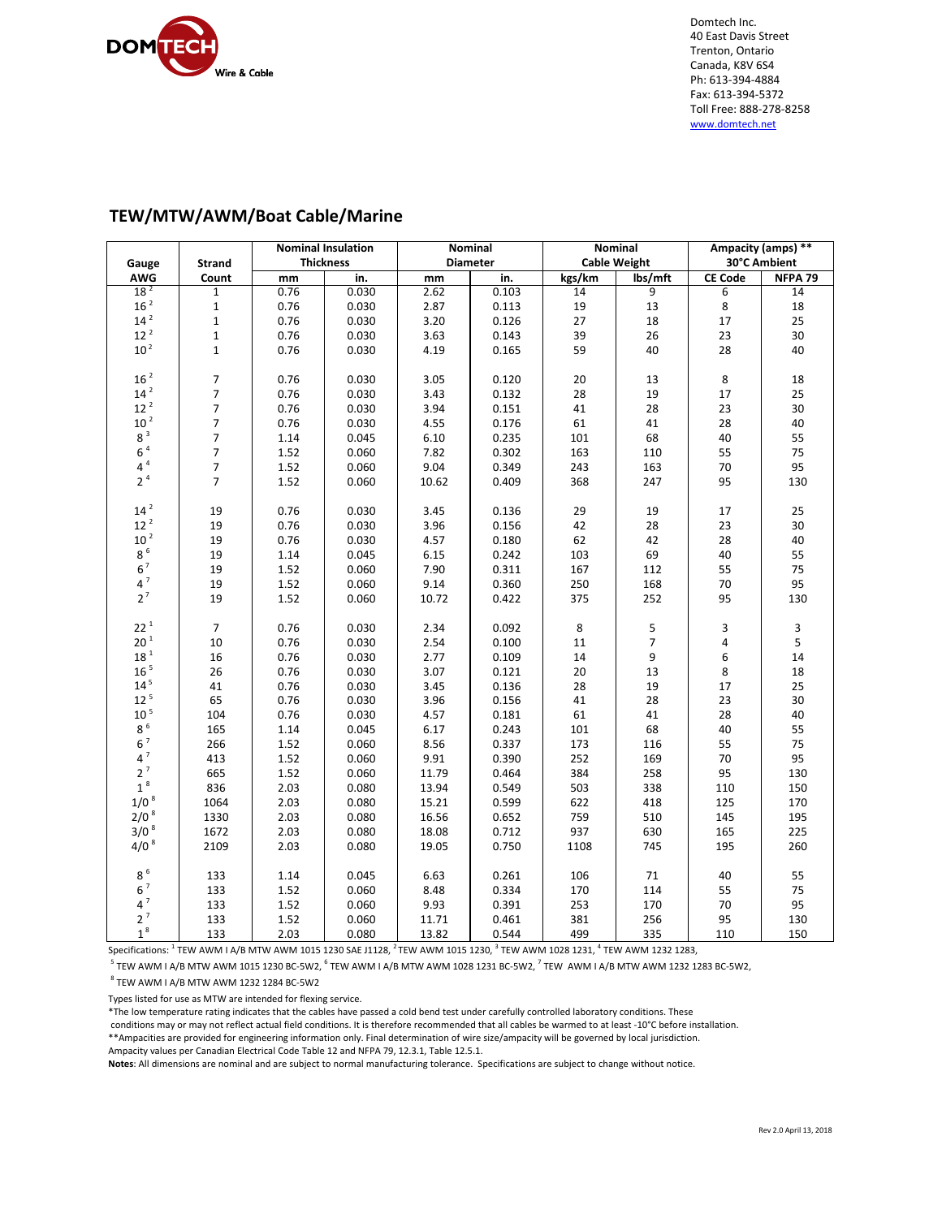

Domtech Inc. 40 East Davis Street Trenton, Ontario Canada, K8V 6S4 Ph: 613‐394‐4884 Fax: 613‐394‐5372 Toll Free: 888‐278‐8258 www.domtech.net

# **TEW/MTW/AWM/Boat Cable/Marine**

|                    |                | <b>Nominal Insulation</b> |       | Nominal         |       | Nominal             |         | Ampacity (amps) ** |                    |
|--------------------|----------------|---------------------------|-------|-----------------|-------|---------------------|---------|--------------------|--------------------|
| Gauge              | <b>Strand</b>  | <b>Thickness</b>          |       | <b>Diameter</b> |       | <b>Cable Weight</b> |         | 30°C Ambient       |                    |
| AWG                | Count          | mm                        | in.   | mm              | in.   | kgs/km              | lbs/mft | <b>CE Code</b>     | NFPA <sub>79</sub> |
| 18 <sup>2</sup>    | $\mathbf{1}$   | 0.76                      | 0.030 | 2.62            | 0.103 | 14                  | 9       | 6                  | 14                 |
| 16 <sup>2</sup>    | $\mathbf{1}$   | 0.76                      | 0.030 | 2.87            | 0.113 | 19                  | 13      | 8                  | $18\,$             |
| 14 <sup>2</sup>    | $\mathbf{1}$   | 0.76                      | 0.030 | 3.20            | 0.126 | 27                  | 18      | 17                 | 25                 |
| 12 <sup>2</sup>    | $\mathbf{1}$   | 0.76                      | 0.030 | 3.63            | 0.143 | 39                  | 26      | 23                 | 30                 |
| 10 <sup>2</sup>    | $\mathbf{1}$   | 0.76                      | 0.030 | 4.19            | 0.165 | 59                  | 40      | 28                 | 40                 |
|                    |                |                           |       |                 |       |                     |         |                    |                    |
| 16 <sup>2</sup>    | $\overline{7}$ | 0.76                      | 0.030 | 3.05            | 0.120 | 20                  | 13      | $\,8\,$            | 18                 |
| $14^2$             | 7              | 0.76                      | 0.030 | 3.43            | 0.132 | 28                  | 19      | 17                 | 25                 |
| 12 <sup>2</sup>    | $\overline{7}$ | 0.76                      | 0.030 | 3.94            | 0.151 | 41                  | 28      | 23                 | 30                 |
| $10^2$             | $\overline{7}$ | 0.76                      | 0.030 | 4.55            | 0.176 | 61                  | 41      | 28                 | 40                 |
| $8^3$              | $\overline{7}$ | 1.14                      | 0.045 | 6.10            | 0.235 | 101                 | 68      | 40                 | 55                 |
| 6 <sup>4</sup>     | 7              | 1.52                      | 0.060 | 7.82            | 0.302 | 163                 | 110     | 55                 | 75                 |
| $4^4$              | $\overline{7}$ | 1.52                      | 0.060 | 9.04            | 0.349 | 243                 | 163     | 70                 | 95                 |
| 2 <sup>4</sup>     | $\overline{7}$ | 1.52                      | 0.060 | 10.62           | 0.409 | 368                 | 247     | 95                 | 130                |
|                    |                |                           |       |                 |       |                     |         |                    |                    |
| 14 <sup>2</sup>    | 19             | 0.76                      | 0.030 | 3.45            | 0.136 | 29                  | 19      | $17\,$             | 25                 |
| $12^2$             | 19             | 0.76                      | 0.030 | 3.96            | 0.156 | 42                  | 28      | 23                 | 30                 |
| 10 <sup>2</sup>    | 19             | 0.76                      | 0.030 | 4.57            | 0.180 | 62                  | 42      | 28                 | 40                 |
| 8 <sup>6</sup>     | 19             | 1.14                      | 0.045 | 6.15            | 0.242 | 103                 | 69      | 40                 | 55                 |
| $6^7$              |                |                           |       |                 |       |                     |         |                    |                    |
| $4^7$              | 19             | 1.52                      | 0.060 | 7.90            | 0.311 | 167                 | 112     | 55                 | 75                 |
| $2^7$              | 19             | 1.52                      | 0.060 | 9.14            | 0.360 | 250                 | 168     | 70                 | 95                 |
|                    | 19             | 1.52                      | 0.060 | 10.72           | 0.422 | 375                 | 252     | 95                 | 130                |
| $22^{1}$           |                |                           |       |                 |       |                     |         |                    |                    |
| 20 <sup>1</sup>    | $\overline{7}$ | 0.76                      | 0.030 | 2.34            | 0.092 | $\bf 8$             | 5       | 3                  | 3                  |
| 18 <sup>1</sup>    | 10             | 0.76                      | 0.030 | 2.54            | 0.100 | 11                  | 7       | 4                  | 5                  |
|                    | 16             | 0.76                      | 0.030 | 2.77            | 0.109 | 14                  | 9       | 6                  | 14                 |
| $16$ $^{\rm 5}$    | 26             | 0.76                      | 0.030 | 3.07            | 0.121 | 20                  | 13      | 8                  | 18                 |
| $14^5$             | 41             | 0.76                      | 0.030 | 3.45            | 0.136 | 28                  | 19      | 17                 | 25                 |
| 12 <sup>5</sup>    | 65             | 0.76                      | 0.030 | 3.96            | 0.156 | 41                  | 28      | 23                 | 30                 |
| 10 <sup>5</sup>    | 104            | 0.76                      | 0.030 | 4.57            | 0.181 | 61                  | 41      | 28                 | 40                 |
| 8 <sup>6</sup>     | 165            | 1.14                      | 0.045 | 6.17            | 0.243 | 101                 | 68      | 40                 | 55                 |
| $6^7$              | 266            | 1.52                      | 0.060 | 8.56            | 0.337 | 173                 | 116     | 55                 | 75                 |
| $4^7$              | 413            | 1.52                      | 0.060 | 9.91            | 0.390 | 252                 | 169     | 70                 | 95                 |
| $2^7$              | 665            | 1.52                      | 0.060 | 11.79           | 0.464 | 384                 | 258     | 95                 | 130                |
| $1\,^8$            | 836            | 2.03                      | 0.080 | 13.94           | 0.549 | 503                 | 338     | 110                | 150                |
| $1/0$ $^8\,$       | 1064           | 2.03                      | 0.080 | 15.21           | 0.599 | 622                 | 418     | 125                | 170                |
| $2/0$ <sup>8</sup> | 1330           | 2.03                      | 0.080 | 16.56           | 0.652 | 759                 | 510     | 145                | 195                |
| $3/0^8$            | 1672           | 2.03                      | 0.080 | 18.08           | 0.712 | 937                 | 630     | 165                | 225                |
| $4/0^{8}$          | 2109           | 2.03                      | 0.080 | 19.05           | 0.750 | 1108                | 745     | 195                | 260                |
|                    |                |                           |       |                 |       |                     |         |                    |                    |
| $8\,^6$            | 133            | 1.14                      | 0.045 | 6.63            | 0.261 | 106                 | 71      | 40                 | 55                 |
| $6^7$              | 133            | 1.52                      | 0.060 | 8.48            | 0.334 | 170                 | 114     | 55                 | 75                 |
| $4^7$              | 133            | 1.52                      | 0.060 | 9.93            | 0.391 | 253                 | 170     | $70\,$             | 95                 |
| $2^7$              | 133            | 1.52                      | 0.060 | 11.71           | 0.461 | 381                 | 256     | 95                 | 130                |
| 1 <sup>8</sup>     | 133            | 2.03                      | 0.080 | 13.82           | 0.544 | 499                 | 335     | 110                | 150                |

Specifications:  $^1$  TEW AWM I A/B MTW AWM 1015 1230 SAE J1128,  $^2$  TEW AWM 1015 1230,  $^3$  TEW AWM 1028 1231,  $^4$  TEW AWM 1232 1283,

 $^5$  TEW AWM I A/B MTW AWM 1015 1230 BC-5W2,  $^6$  TEW AWM I A/B MTW AWM 1028 1231 BC-5W2,  $^7$  TEW AWM I A/B MTW AWM 1232 1283 BC-5W2,

 $^8$  TEW AWM I A/B MTW AWM 1232 1284 BC-5W2

Types listed for use as MTW are intended for flexing service.

\*The low temperature rating indicates that the cables have passed a cold bend test under carefully controlled laboratory conditions. These

conditions may or may not reflect actual field conditions. It is therefore recommended that all cables be warmed to at least ‐10°C before installation. \*\*Ampacities are provided for engineering information only. Final determination of wire size/ampacity will be governed by local jurisdiction.

Ampacity values per Canadian Electrical Code Table 12 and NFPA 79, 12.3.1, Table 12.5.1.

**Notes**: All dimensions are nominal and are subject to normal manufacturing tolerance. Specifications are subject to change without notice.